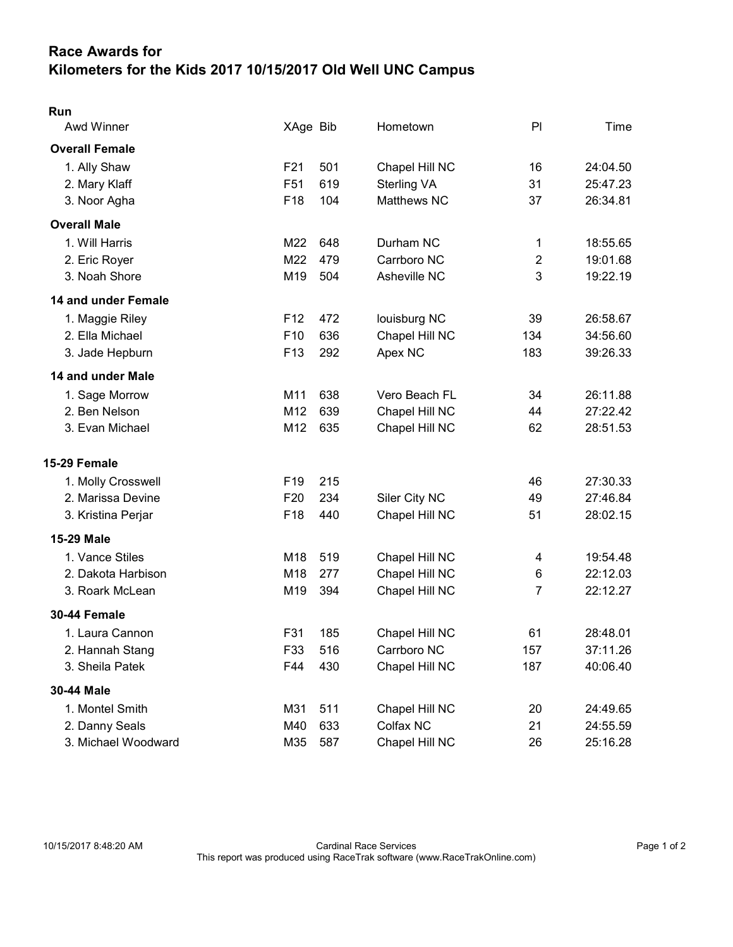## Race Awards for Kilometers for the Kids 2017 10/15/2017 Old Well UNC Campus

| Run<br>Awd Winner     | XAge Bib        |     | Hometown       | PI             | Time     |
|-----------------------|-----------------|-----|----------------|----------------|----------|
| <b>Overall Female</b> |                 |     |                |                |          |
| 1. Ally Shaw          | F <sub>21</sub> | 501 | Chapel Hill NC | 16             | 24:04.50 |
| 2. Mary Klaff         | F <sub>51</sub> | 619 | Sterling VA    | 31             | 25:47.23 |
| 3. Noor Agha          | F18             | 104 | Matthews NC    | 37             | 26:34.81 |
| <b>Overall Male</b>   |                 |     |                |                |          |
|                       |                 |     |                |                |          |
| 1. Will Harris        | M22             | 648 | Durham NC      | 1              | 18:55.65 |
| 2. Eric Royer         | M22             | 479 | Carrboro NC    | $\overline{2}$ | 19:01.68 |
| 3. Noah Shore         | M19             | 504 | Asheville NC   | $\mathbf{3}$   | 19:22.19 |
| 14 and under Female   |                 |     |                |                |          |
| 1. Maggie Riley       | F <sub>12</sub> | 472 | louisburg NC   | 39             | 26:58.67 |
| 2. Ella Michael       | F <sub>10</sub> | 636 | Chapel Hill NC | 134            | 34:56.60 |
| 3. Jade Hepburn       | F <sub>13</sub> | 292 | Apex NC        | 183            | 39:26.33 |
| 14 and under Male     |                 |     |                |                |          |
| 1. Sage Morrow        | M11             | 638 | Vero Beach FL  | 34             | 26:11.88 |
| 2. Ben Nelson         | M <sub>12</sub> | 639 | Chapel Hill NC | 44             | 27:22.42 |
| 3. Evan Michael       | M12             | 635 | Chapel Hill NC | 62             | 28:51.53 |
| 15-29 Female          |                 |     |                |                |          |
| 1. Molly Crosswell    | F <sub>19</sub> | 215 |                | 46             | 27:30.33 |
| 2. Marissa Devine     | F <sub>20</sub> | 234 | Siler City NC  | 49             | 27:46.84 |
| 3. Kristina Perjar    | F <sub>18</sub> | 440 | Chapel Hill NC | 51             | 28:02.15 |
| 15-29 Male            |                 |     |                |                |          |
| 1. Vance Stiles       | M18             | 519 | Chapel Hill NC | 4              | 19:54.48 |
| 2. Dakota Harbison    | M18             | 277 | Chapel Hill NC | 6              | 22:12.03 |
| 3. Roark McLean       | M19             | 394 | Chapel Hill NC | 7              | 22:12.27 |
| 30-44 Female          |                 |     |                |                |          |
| 1. Laura Cannon       | F31             | 185 | Chapel Hill NC | 61             | 28:48.01 |
| 2. Hannah Stang       | F33             | 516 | Carrboro NC    | 157            | 37:11.26 |
| 3. Sheila Patek       | F44             | 430 | Chapel Hill NC | 187            | 40:06.40 |
| 30-44 Male            |                 |     |                |                |          |
| 1. Montel Smith       | M31             | 511 | Chapel Hill NC | 20             | 24:49.65 |
| 2. Danny Seals        | M40             | 633 | Colfax NC      | 21             | 24:55.59 |
| 3. Michael Woodward   | M35             | 587 | Chapel Hill NC | 26             | 25:16.28 |